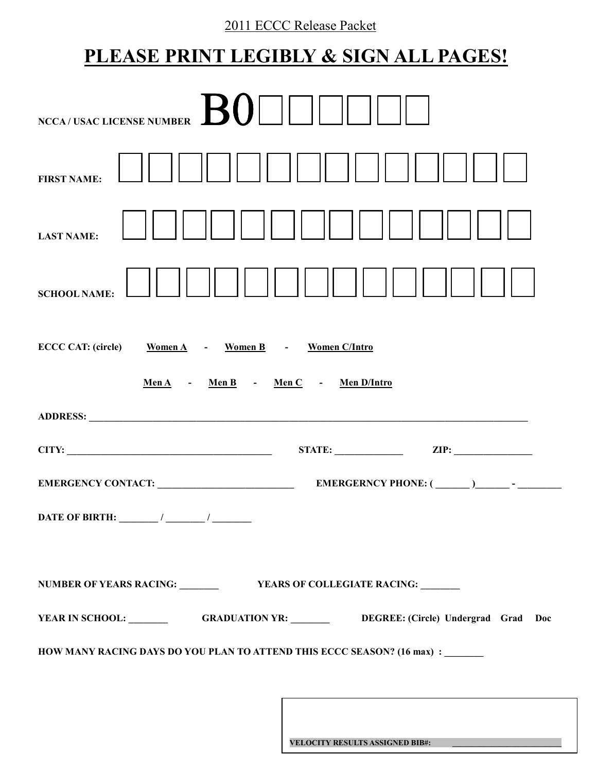# 2011 ECCC Release Packet

# **PLEASE PRINT LEGIBLY & SIGN ALL PAGES!**

| <b>BO</b><br><b>NCCA/USAC LICENSE NUMBER</b>                                                                                                                                                                                                                                                                                                                                                                                                |
|---------------------------------------------------------------------------------------------------------------------------------------------------------------------------------------------------------------------------------------------------------------------------------------------------------------------------------------------------------------------------------------------------------------------------------------------|
| <b>FIRST NAME:</b>                                                                                                                                                                                                                                                                                                                                                                                                                          |
| <b>LAST NAME:</b>                                                                                                                                                                                                                                                                                                                                                                                                                           |
| <b>SCHOOL NAME:</b>                                                                                                                                                                                                                                                                                                                                                                                                                         |
| Women A - Women B - Women C/Intro<br><b>ECCC CAT: (circle)</b>                                                                                                                                                                                                                                                                                                                                                                              |
| $Men A$ - $Men B$ - $Men C$ - $Men D/Intro$                                                                                                                                                                                                                                                                                                                                                                                                 |
|                                                                                                                                                                                                                                                                                                                                                                                                                                             |
| CITY:                                                                                                                                                                                                                                                                                                                                                                                                                                       |
|                                                                                                                                                                                                                                                                                                                                                                                                                                             |
| DATE OF BIRTH: $\frac{1}{\frac{1}{2} \cdot \frac{1}{2} \cdot \frac{1}{2} \cdot \frac{1}{2} \cdot \frac{1}{2} \cdot \frac{1}{2} \cdot \frac{1}{2} \cdot \frac{1}{2} \cdot \frac{1}{2} \cdot \frac{1}{2} \cdot \frac{1}{2} \cdot \frac{1}{2} \cdot \frac{1}{2} \cdot \frac{1}{2} \cdot \frac{1}{2} \cdot \frac{1}{2} \cdot \frac{1}{2} \cdot \frac{1}{2} \cdot \frac{1}{2} \cdot \frac{1}{2} \cdot \frac{1}{2} \cdot \frac{1}{2} \cdot \frac$ |
|                                                                                                                                                                                                                                                                                                                                                                                                                                             |
| YEAR IN SCHOOL: GRADUATION YR: DEGREE: (Circle) Undergrad Grad Doc                                                                                                                                                                                                                                                                                                                                                                          |
| HOW MANY RACING DAYS DO YOU PLAN TO ATTEND THIS ECCC SEASON? (16 max) : ______                                                                                                                                                                                                                                                                                                                                                              |

**VELOCITY RESULTS ASSIGNED BIB#: \_\_\_\_\_\_\_\_\_\_\_\_\_\_\_\_\_\_\_\_\_\_\_\_\_\_\_\_**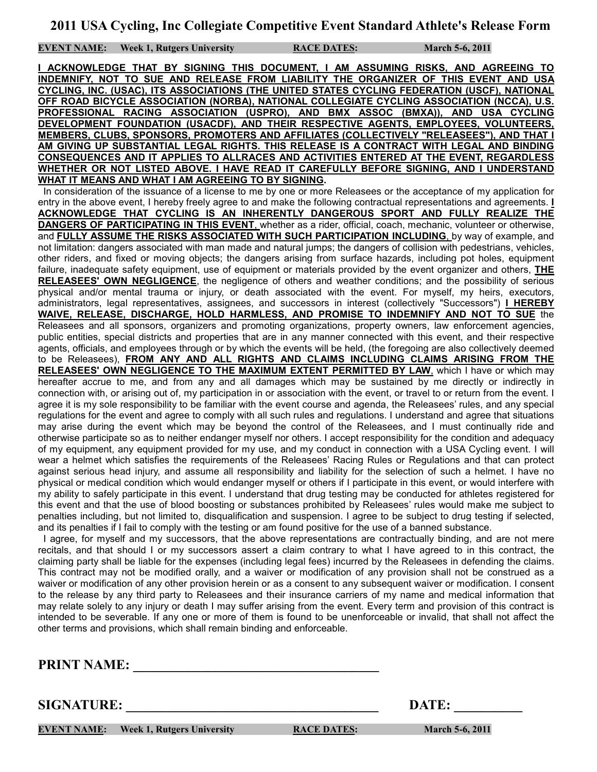**EVENT NAME:** Week 1, Rutgers University RACE DATES: March 5-6, 2011

**I ACKNOWLEDGE THAT BY SIGNING THIS DOCUMENT, I AM ASSUMING RISKS, AND AGREEING TO INDEMNIFY, NOT TO SUE AND RELEASE FROM LIABILITY THE ORGANIZER OF THIS EVENT AND USA CYCLING, INC. (USAC), ITS ASSOCIATIONS (THE UNITED STATES CYCLING FEDERATION (USCF), NATIONAL OFF ROAD BICYCLE ASSOCIATION (NORBA), NATIONAL COLLEGIATE CYCLING ASSOCIATION (NCCA), U.S. PROFESSIONAL RACING ASSOCIATION (USPRO), AND BMX ASSOC (BMXA)), AND USA CYCLING DEVELOPMENT FOUNDATION (USACDF), AND THEIR RESPECTIVE AGENTS, EMPLOYEES, VOLUNTEERS, MEMBERS, CLUBS, SPONSORS, PROMOTERS AND AFFILIATES (COLLECTIVELY "RELEASEES"), AND THAT I AM GIVING UP SUBSTANTIAL LEGAL RIGHTS. THIS RELEASE IS A CONTRACT WITH LEGAL AND BINDING CONSEQUENCES AND IT APPLIES TO ALLRACES AND ACTIVITIES ENTERED AT THE EVENT, REGARDLESS WHETHER OR NOT LISTED ABOVE. I HAVE READ IT CAREFULLY BEFORE SIGNING, AND I UNDERSTAND WHAT IT MEANS AND WHAT I AM AGREEING TO BY SIGNING.**

 In consideration of the issuance of a license to me by one or more Releasees or the acceptance of my application for entry in the above event, I hereby freely agree to and make the following contractual representations and agreements. **I ACKNOWLEDGE THAT CYCLING IS AN INHERENTLY DANGEROUS SPORT AND FULLY REALIZE THE DANGERS OF PARTICIPATING IN THIS EVENT**, whether as a rider, official, coach, mechanic, volunteer or otherwise, and **FULLY ASSUME THE RISKS ASSOCIATED WITH SUCH PARTICIPATION INCLUDING**, by way of example, and not limitation: dangers associated with man made and natural jumps; the dangers of collision with pedestrians, vehicles, other riders, and fixed or moving objects; the dangers arising from surface hazards, including pot holes, equipment failure, inadequate safety equipment, use of equipment or materials provided by the event organizer and others, **THE RELEASEES' OWN NEGLIGENCE**, the negligence of others and weather conditions; and the possibility of serious physical and/or mental trauma or injury, or death associated with the event. For myself, my heirs, executors, administrators, legal representatives, assignees, and successors in interest (collectively "Successors") **I HEREBY WAIVE, RELEASE, DISCHARGE, HOLD HARMLESS, AND PROMISE TO INDEMNIFY AND NOT TO SUE** the Releasees and all sponsors, organizers and promoting organizations, property owners, law enforcement agencies, public entities, special districts and properties that are in any manner connected with this event, and their respective agents, officials, and employees through or by which the events will be held, (the foregoing are also collectively deemed to be Releasees), **FROM ANY AND ALL RIGHTS AND CLAIMS INCLUDING CLAIMS ARISING FROM THE RELEASEES' OWN NEGLIGENCE TO THE MAXIMUM EXTENT PERMITTED BY LAW**, which I have or which may hereafter accrue to me, and from any and all damages which may be sustained by me directly or indirectly in connection with, or arising out of, my participation in or association with the event, or travel to or return from the event. I agree it is my sole responsibility to be familiar with the event course and agenda, the Releasees' rules, and any special regulations for the event and agree to comply with all such rules and regulations. I understand and agree that situations may arise during the event which may be beyond the control of the Releasees, and I must continually ride and otherwise participate so as to neither endanger myself nor others. I accept responsibility for the condition and adequacy of my equipment, any equipment provided for my use, and my conduct in connection with a USA Cycling event. I will wear a helmet which satisfies the requirements of the Releasees' Racing Rules or Regulations and that can protect against serious head injury, and assume all responsibility and liability for the selection of such a helmet. I have no physical or medical condition which would endanger myself or others if I participate in this event, or would interfere with my ability to safely participate in this event. I understand that drug testing may be conducted for athletes registered for this event and that the use of blood boosting or substances prohibited by Releasees' rules would make me subject to penalties including, but not limited to, disqualification and suspension. I agree to be subject to drug testing if selected, and its penalties if I fail to comply with the testing or am found positive for the use of a banned substance.

 I agree, for myself and my successors, that the above representations are contractually binding, and are not mere recitals, and that should I or my successors assert a claim contrary to what I have agreed to in this contract, the claiming party shall be liable for the expenses (including legal fees) incurred by the Releasees in defending the claims. This contract may not be modified orally, and a waiver or modification of any provision shall not be construed as a waiver or modification of any other provision herein or as a consent to any subsequent waiver or modification. I consent to the release by any third party to Releasees and their insurance carriers of my name and medical information that may relate solely to any injury or death I may suffer arising from the event. Every term and provision of this contract is intended to be severable. If any one or more of them is found to be unenforceable or invalid, that shall not affect the other terms and provisions, which shall remain binding and enforceable.

**PRINT NAME:** 

**SIGNATURE:** DATE:

**EVENT NAME:** Week 1, Rutgers University **RACE DATES:** March 5-6, 2011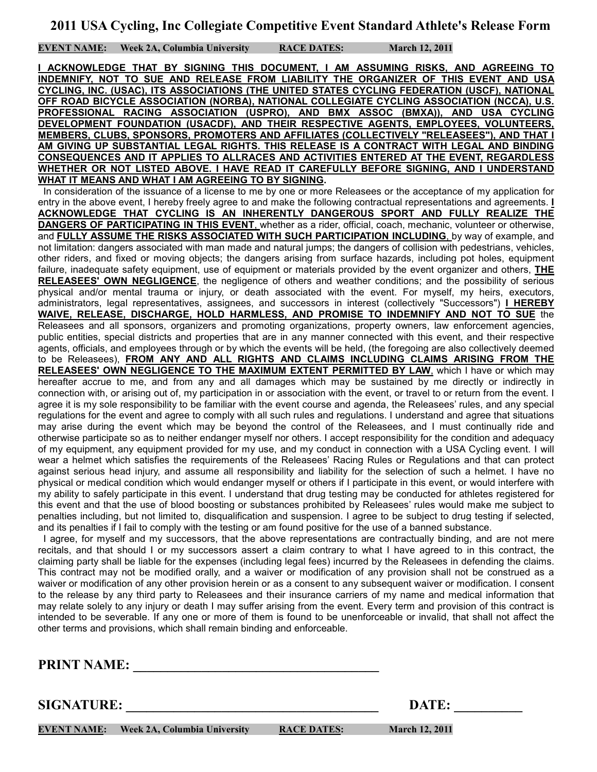**EVENT NAME:** Week 2A, Columbia University RACE DATES: March 12, 2011

**I ACKNOWLEDGE THAT BY SIGNING THIS DOCUMENT, I AM ASSUMING RISKS, AND AGREEING TO INDEMNIFY, NOT TO SUE AND RELEASE FROM LIABILITY THE ORGANIZER OF THIS EVENT AND USA CYCLING, INC. (USAC), ITS ASSOCIATIONS (THE UNITED STATES CYCLING FEDERATION (USCF), NATIONAL OFF ROAD BICYCLE ASSOCIATION (NORBA), NATIONAL COLLEGIATE CYCLING ASSOCIATION (NCCA), U.S. PROFESSIONAL RACING ASSOCIATION (USPRO), AND BMX ASSOC (BMXA)), AND USA CYCLING DEVELOPMENT FOUNDATION (USACDF), AND THEIR RESPECTIVE AGENTS, EMPLOYEES, VOLUNTEERS, MEMBERS, CLUBS, SPONSORS, PROMOTERS AND AFFILIATES (COLLECTIVELY "RELEASEES"), AND THAT I AM GIVING UP SUBSTANTIAL LEGAL RIGHTS. THIS RELEASE IS A CONTRACT WITH LEGAL AND BINDING CONSEQUENCES AND IT APPLIES TO ALLRACES AND ACTIVITIES ENTERED AT THE EVENT, REGARDLESS WHETHER OR NOT LISTED ABOVE. I HAVE READ IT CAREFULLY BEFORE SIGNING, AND I UNDERSTAND WHAT IT MEANS AND WHAT I AM AGREEING TO BY SIGNING.**

 In consideration of the issuance of a license to me by one or more Releasees or the acceptance of my application for entry in the above event, I hereby freely agree to and make the following contractual representations and agreements. **I ACKNOWLEDGE THAT CYCLING IS AN INHERENTLY DANGEROUS SPORT AND FULLY REALIZE THE DANGERS OF PARTICIPATING IN THIS EVENT**, whether as a rider, official, coach, mechanic, volunteer or otherwise, and **FULLY ASSUME THE RISKS ASSOCIATED WITH SUCH PARTICIPATION INCLUDING**, by way of example, and not limitation: dangers associated with man made and natural jumps; the dangers of collision with pedestrians, vehicles, other riders, and fixed or moving objects; the dangers arising from surface hazards, including pot holes, equipment failure, inadequate safety equipment, use of equipment or materials provided by the event organizer and others, **THE RELEASEES' OWN NEGLIGENCE**, the negligence of others and weather conditions; and the possibility of serious physical and/or mental trauma or injury, or death associated with the event. For myself, my heirs, executors, administrators, legal representatives, assignees, and successors in interest (collectively "Successors") **I HEREBY WAIVE, RELEASE, DISCHARGE, HOLD HARMLESS, AND PROMISE TO INDEMNIFY AND NOT TO SUE** the Releasees and all sponsors, organizers and promoting organizations, property owners, law enforcement agencies, public entities, special districts and properties that are in any manner connected with this event, and their respective agents, officials, and employees through or by which the events will be held, (the foregoing are also collectively deemed to be Releasees), **FROM ANY AND ALL RIGHTS AND CLAIMS INCLUDING CLAIMS ARISING FROM THE RELEASEES' OWN NEGLIGENCE TO THE MAXIMUM EXTENT PERMITTED BY LAW**, which I have or which may hereafter accrue to me, and from any and all damages which may be sustained by me directly or indirectly in connection with, or arising out of, my participation in or association with the event, or travel to or return from the event. I agree it is my sole responsibility to be familiar with the event course and agenda, the Releasees' rules, and any special regulations for the event and agree to comply with all such rules and regulations. I understand and agree that situations may arise during the event which may be beyond the control of the Releasees, and I must continually ride and otherwise participate so as to neither endanger myself nor others. I accept responsibility for the condition and adequacy of my equipment, any equipment provided for my use, and my conduct in connection with a USA Cycling event. I will wear a helmet which satisfies the requirements of the Releasees' Racing Rules or Regulations and that can protect against serious head injury, and assume all responsibility and liability for the selection of such a helmet. I have no physical or medical condition which would endanger myself or others if I participate in this event, or would interfere with my ability to safely participate in this event. I understand that drug testing may be conducted for athletes registered for this event and that the use of blood boosting or substances prohibited by Releasees' rules would make me subject to penalties including, but not limited to, disqualification and suspension. I agree to be subject to drug testing if selected, and its penalties if I fail to comply with the testing or am found positive for the use of a banned substance.

 I agree, for myself and my successors, that the above representations are contractually binding, and are not mere recitals, and that should I or my successors assert a claim contrary to what I have agreed to in this contract, the claiming party shall be liable for the expenses (including legal fees) incurred by the Releasees in defending the claims. This contract may not be modified orally, and a waiver or modification of any provision shall not be construed as a waiver or modification of any other provision herein or as a consent to any subsequent waiver or modification. I consent to the release by any third party to Releasees and their insurance carriers of my name and medical information that may relate solely to any injury or death I may suffer arising from the event. Every term and provision of this contract is intended to be severable. If any one or more of them is found to be unenforceable or invalid, that shall not affect the other terms and provisions, which shall remain binding and enforceable.

**PRINT NAME:** 

**SIGNATURE:** DATE:

**EVENT NAME:** Week 2A, Columbia University RACE DATES: March 12, 2011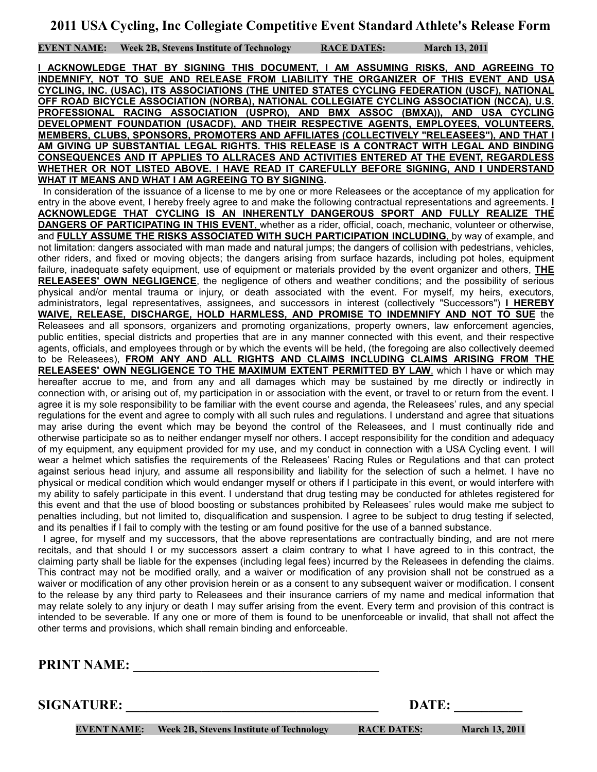**EVENT NAME:** Week 2B, Stevens Institute of Technology RACE DATES: March 13, 2011

**I ACKNOWLEDGE THAT BY SIGNING THIS DOCUMENT, I AM ASSUMING RISKS, AND AGREEING TO INDEMNIFY, NOT TO SUE AND RELEASE FROM LIABILITY THE ORGANIZER OF THIS EVENT AND USA CYCLING, INC. (USAC), ITS ASSOCIATIONS (THE UNITED STATES CYCLING FEDERATION (USCF), NATIONAL OFF ROAD BICYCLE ASSOCIATION (NORBA), NATIONAL COLLEGIATE CYCLING ASSOCIATION (NCCA), U.S. PROFESSIONAL RACING ASSOCIATION (USPRO), AND BMX ASSOC (BMXA)), AND USA CYCLING DEVELOPMENT FOUNDATION (USACDF), AND THEIR RESPECTIVE AGENTS, EMPLOYEES, VOLUNTEERS, MEMBERS, CLUBS, SPONSORS, PROMOTERS AND AFFILIATES (COLLECTIVELY "RELEASEES"), AND THAT I AM GIVING UP SUBSTANTIAL LEGAL RIGHTS. THIS RELEASE IS A CONTRACT WITH LEGAL AND BINDING CONSEQUENCES AND IT APPLIES TO ALLRACES AND ACTIVITIES ENTERED AT THE EVENT, REGARDLESS WHETHER OR NOT LISTED ABOVE. I HAVE READ IT CAREFULLY BEFORE SIGNING, AND I UNDERSTAND WHAT IT MEANS AND WHAT I AM AGREEING TO BY SIGNING.**

 In consideration of the issuance of a license to me by one or more Releasees or the acceptance of my application for entry in the above event, I hereby freely agree to and make the following contractual representations and agreements. **I ACKNOWLEDGE THAT CYCLING IS AN INHERENTLY DANGEROUS SPORT AND FULLY REALIZE THE DANGERS OF PARTICIPATING IN THIS EVENT**, whether as a rider, official, coach, mechanic, volunteer or otherwise, and **FULLY ASSUME THE RISKS ASSOCIATED WITH SUCH PARTICIPATION INCLUDING**, by way of example, and not limitation: dangers associated with man made and natural jumps; the dangers of collision with pedestrians, vehicles, other riders, and fixed or moving objects; the dangers arising from surface hazards, including pot holes, equipment failure, inadequate safety equipment, use of equipment or materials provided by the event organizer and others, **THE RELEASEES' OWN NEGLIGENCE**, the negligence of others and weather conditions; and the possibility of serious physical and/or mental trauma or injury, or death associated with the event. For myself, my heirs, executors, administrators, legal representatives, assignees, and successors in interest (collectively "Successors") **I HEREBY WAIVE, RELEASE, DISCHARGE, HOLD HARMLESS, AND PROMISE TO INDEMNIFY AND NOT TO SUE** the Releasees and all sponsors, organizers and promoting organizations, property owners, law enforcement agencies, public entities, special districts and properties that are in any manner connected with this event, and their respective agents, officials, and employees through or by which the events will be held, (the foregoing are also collectively deemed to be Releasees), **FROM ANY AND ALL RIGHTS AND CLAIMS INCLUDING CLAIMS ARISING FROM THE RELEASEES' OWN NEGLIGENCE TO THE MAXIMUM EXTENT PERMITTED BY LAW**, which I have or which may hereafter accrue to me, and from any and all damages which may be sustained by me directly or indirectly in connection with, or arising out of, my participation in or association with the event, or travel to or return from the event. I agree it is my sole responsibility to be familiar with the event course and agenda, the Releasees' rules, and any special regulations for the event and agree to comply with all such rules and regulations. I understand and agree that situations may arise during the event which may be beyond the control of the Releasees, and I must continually ride and otherwise participate so as to neither endanger myself nor others. I accept responsibility for the condition and adequacy of my equipment, any equipment provided for my use, and my conduct in connection with a USA Cycling event. I will wear a helmet which satisfies the requirements of the Releasees' Racing Rules or Regulations and that can protect against serious head injury, and assume all responsibility and liability for the selection of such a helmet. I have no physical or medical condition which would endanger myself or others if I participate in this event, or would interfere with my ability to safely participate in this event. I understand that drug testing may be conducted for athletes registered for this event and that the use of blood boosting or substances prohibited by Releasees' rules would make me subject to penalties including, but not limited to, disqualification and suspension. I agree to be subject to drug testing if selected, and its penalties if I fail to comply with the testing or am found positive for the use of a banned substance.

 I agree, for myself and my successors, that the above representations are contractually binding, and are not mere recitals, and that should I or my successors assert a claim contrary to what I have agreed to in this contract, the claiming party shall be liable for the expenses (including legal fees) incurred by the Releasees in defending the claims. This contract may not be modified orally, and a waiver or modification of any provision shall not be construed as a waiver or modification of any other provision herein or as a consent to any subsequent waiver or modification. I consent to the release by any third party to Releasees and their insurance carriers of my name and medical information that may relate solely to any injury or death I may suffer arising from the event. Every term and provision of this contract is intended to be severable. If any one or more of them is found to be unenforceable or invalid, that shall not affect the other terms and provisions, which shall remain binding and enforceable.

**PRINT NAME:** 

**SIGNATURE:** DATE:

**EVENT NAME:** Week 2B, Stevens Institute of Technology **RACE DATES:** March 13, 2011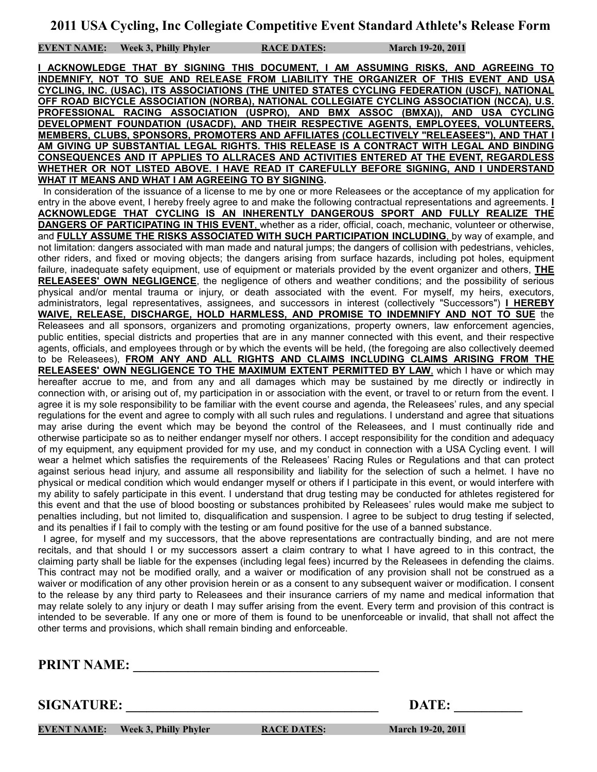**EVENT NAME:** Week 3, Philly Phyler RACE DATES: March 19-20, 2011

**I ACKNOWLEDGE THAT BY SIGNING THIS DOCUMENT, I AM ASSUMING RISKS, AND AGREEING TO INDEMNIFY, NOT TO SUE AND RELEASE FROM LIABILITY THE ORGANIZER OF THIS EVENT AND USA CYCLING, INC. (USAC), ITS ASSOCIATIONS (THE UNITED STATES CYCLING FEDERATION (USCF), NATIONAL OFF ROAD BICYCLE ASSOCIATION (NORBA), NATIONAL COLLEGIATE CYCLING ASSOCIATION (NCCA), U.S. PROFESSIONAL RACING ASSOCIATION (USPRO), AND BMX ASSOC (BMXA)), AND USA CYCLING DEVELOPMENT FOUNDATION (USACDF), AND THEIR RESPECTIVE AGENTS, EMPLOYEES, VOLUNTEERS, MEMBERS, CLUBS, SPONSORS, PROMOTERS AND AFFILIATES (COLLECTIVELY "RELEASEES"), AND THAT I AM GIVING UP SUBSTANTIAL LEGAL RIGHTS. THIS RELEASE IS A CONTRACT WITH LEGAL AND BINDING CONSEQUENCES AND IT APPLIES TO ALLRACES AND ACTIVITIES ENTERED AT THE EVENT, REGARDLESS WHETHER OR NOT LISTED ABOVE. I HAVE READ IT CAREFULLY BEFORE SIGNING, AND I UNDERSTAND WHAT IT MEANS AND WHAT I AM AGREEING TO BY SIGNING.**

 In consideration of the issuance of a license to me by one or more Releasees or the acceptance of my application for entry in the above event, I hereby freely agree to and make the following contractual representations and agreements. **I ACKNOWLEDGE THAT CYCLING IS AN INHERENTLY DANGEROUS SPORT AND FULLY REALIZE THE DANGERS OF PARTICIPATING IN THIS EVENT**, whether as a rider, official, coach, mechanic, volunteer or otherwise, and **FULLY ASSUME THE RISKS ASSOCIATED WITH SUCH PARTICIPATION INCLUDING**, by way of example, and not limitation: dangers associated with man made and natural jumps; the dangers of collision with pedestrians, vehicles, other riders, and fixed or moving objects; the dangers arising from surface hazards, including pot holes, equipment failure, inadequate safety equipment, use of equipment or materials provided by the event organizer and others, **THE RELEASEES' OWN NEGLIGENCE**, the negligence of others and weather conditions; and the possibility of serious physical and/or mental trauma or injury, or death associated with the event. For myself, my heirs, executors, administrators, legal representatives, assignees, and successors in interest (collectively "Successors") **I HEREBY WAIVE, RELEASE, DISCHARGE, HOLD HARMLESS, AND PROMISE TO INDEMNIFY AND NOT TO SUE** the Releasees and all sponsors, organizers and promoting organizations, property owners, law enforcement agencies, public entities, special districts and properties that are in any manner connected with this event, and their respective agents, officials, and employees through or by which the events will be held, (the foregoing are also collectively deemed to be Releasees), **FROM ANY AND ALL RIGHTS AND CLAIMS INCLUDING CLAIMS ARISING FROM THE RELEASEES' OWN NEGLIGENCE TO THE MAXIMUM EXTENT PERMITTED BY LAW**, which I have or which may hereafter accrue to me, and from any and all damages which may be sustained by me directly or indirectly in connection with, or arising out of, my participation in or association with the event, or travel to or return from the event. I agree it is my sole responsibility to be familiar with the event course and agenda, the Releasees' rules, and any special regulations for the event and agree to comply with all such rules and regulations. I understand and agree that situations may arise during the event which may be beyond the control of the Releasees, and I must continually ride and otherwise participate so as to neither endanger myself nor others. I accept responsibility for the condition and adequacy of my equipment, any equipment provided for my use, and my conduct in connection with a USA Cycling event. I will wear a helmet which satisfies the requirements of the Releasees' Racing Rules or Regulations and that can protect against serious head injury, and assume all responsibility and liability for the selection of such a helmet. I have no physical or medical condition which would endanger myself or others if I participate in this event, or would interfere with my ability to safely participate in this event. I understand that drug testing may be conducted for athletes registered for this event and that the use of blood boosting or substances prohibited by Releasees' rules would make me subject to penalties including, but not limited to, disqualification and suspension. I agree to be subject to drug testing if selected, and its penalties if I fail to comply with the testing or am found positive for the use of a banned substance.

 I agree, for myself and my successors, that the above representations are contractually binding, and are not mere recitals, and that should I or my successors assert a claim contrary to what I have agreed to in this contract, the claiming party shall be liable for the expenses (including legal fees) incurred by the Releasees in defending the claims. This contract may not be modified orally, and a waiver or modification of any provision shall not be construed as a waiver or modification of any other provision herein or as a consent to any subsequent waiver or modification. I consent to the release by any third party to Releasees and their insurance carriers of my name and medical information that may relate solely to any injury or death I may suffer arising from the event. Every term and provision of this contract is intended to be severable. If any one or more of them is found to be unenforceable or invalid, that shall not affect the other terms and provisions, which shall remain binding and enforceable.

**PRINT NAME:** 

**SIGNATURE:** DATE:

**EVENT NAME:** Week 3, Philly Phyler RACE DATES: March 19-20, 2011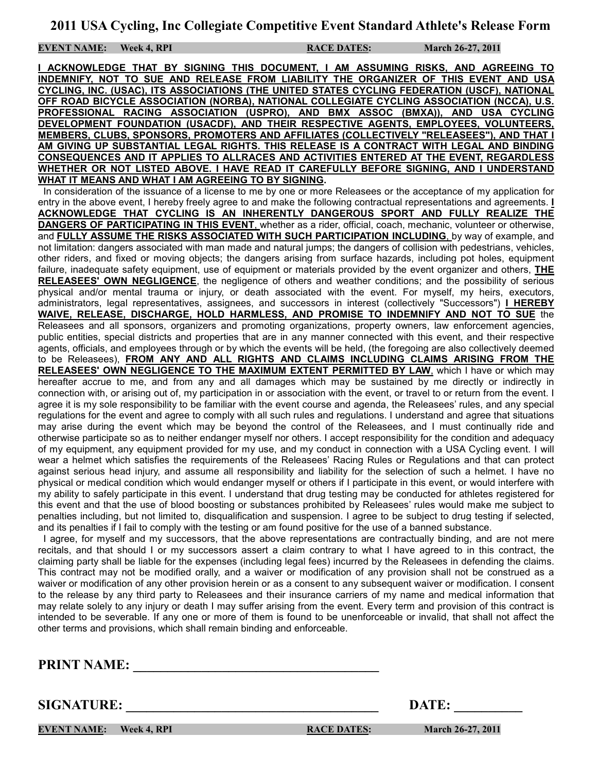**EVENT NAME:** Week 4, RPI RACE DATES: March 26-27, 2011

**I ACKNOWLEDGE THAT BY SIGNING THIS DOCUMENT, I AM ASSUMING RISKS, AND AGREEING TO INDEMNIFY, NOT TO SUE AND RELEASE FROM LIABILITY THE ORGANIZER OF THIS EVENT AND USA CYCLING, INC. (USAC), ITS ASSOCIATIONS (THE UNITED STATES CYCLING FEDERATION (USCF), NATIONAL OFF ROAD BICYCLE ASSOCIATION (NORBA), NATIONAL COLLEGIATE CYCLING ASSOCIATION (NCCA), U.S. PROFESSIONAL RACING ASSOCIATION (USPRO), AND BMX ASSOC (BMXA)), AND USA CYCLING DEVELOPMENT FOUNDATION (USACDF), AND THEIR RESPECTIVE AGENTS, EMPLOYEES, VOLUNTEERS, MEMBERS, CLUBS, SPONSORS, PROMOTERS AND AFFILIATES (COLLECTIVELY "RELEASEES"), AND THAT I AM GIVING UP SUBSTANTIAL LEGAL RIGHTS. THIS RELEASE IS A CONTRACT WITH LEGAL AND BINDING CONSEQUENCES AND IT APPLIES TO ALLRACES AND ACTIVITIES ENTERED AT THE EVENT, REGARDLESS WHETHER OR NOT LISTED ABOVE. I HAVE READ IT CAREFULLY BEFORE SIGNING, AND I UNDERSTAND WHAT IT MEANS AND WHAT I AM AGREEING TO BY SIGNING.**

 In consideration of the issuance of a license to me by one or more Releasees or the acceptance of my application for entry in the above event, I hereby freely agree to and make the following contractual representations and agreements. **I ACKNOWLEDGE THAT CYCLING IS AN INHERENTLY DANGEROUS SPORT AND FULLY REALIZE THE DANGERS OF PARTICIPATING IN THIS EVENT**, whether as a rider, official, coach, mechanic, volunteer or otherwise, and **FULLY ASSUME THE RISKS ASSOCIATED WITH SUCH PARTICIPATION INCLUDING**, by way of example, and not limitation: dangers associated with man made and natural jumps; the dangers of collision with pedestrians, vehicles, other riders, and fixed or moving objects; the dangers arising from surface hazards, including pot holes, equipment failure, inadequate safety equipment, use of equipment or materials provided by the event organizer and others, **THE RELEASEES' OWN NEGLIGENCE**, the negligence of others and weather conditions; and the possibility of serious physical and/or mental trauma or injury, or death associated with the event. For myself, my heirs, executors, administrators, legal representatives, assignees, and successors in interest (collectively "Successors") **I HEREBY WAIVE, RELEASE, DISCHARGE, HOLD HARMLESS, AND PROMISE TO INDEMNIFY AND NOT TO SUE** the Releasees and all sponsors, organizers and promoting organizations, property owners, law enforcement agencies, public entities, special districts and properties that are in any manner connected with this event, and their respective agents, officials, and employees through or by which the events will be held, (the foregoing are also collectively deemed to be Releasees), **FROM ANY AND ALL RIGHTS AND CLAIMS INCLUDING CLAIMS ARISING FROM THE RELEASEES' OWN NEGLIGENCE TO THE MAXIMUM EXTENT PERMITTED BY LAW**, which I have or which may hereafter accrue to me, and from any and all damages which may be sustained by me directly or indirectly in connection with, or arising out of, my participation in or association with the event, or travel to or return from the event. I agree it is my sole responsibility to be familiar with the event course and agenda, the Releasees' rules, and any special regulations for the event and agree to comply with all such rules and regulations. I understand and agree that situations may arise during the event which may be beyond the control of the Releasees, and I must continually ride and otherwise participate so as to neither endanger myself nor others. I accept responsibility for the condition and adequacy of my equipment, any equipment provided for my use, and my conduct in connection with a USA Cycling event. I will wear a helmet which satisfies the requirements of the Releasees' Racing Rules or Regulations and that can protect against serious head injury, and assume all responsibility and liability for the selection of such a helmet. I have no physical or medical condition which would endanger myself or others if I participate in this event, or would interfere with my ability to safely participate in this event. I understand that drug testing may be conducted for athletes registered for this event and that the use of blood boosting or substances prohibited by Releasees' rules would make me subject to penalties including, but not limited to, disqualification and suspension. I agree to be subject to drug testing if selected, and its penalties if I fail to comply with the testing or am found positive for the use of a banned substance.

 I agree, for myself and my successors, that the above representations are contractually binding, and are not mere recitals, and that should I or my successors assert a claim contrary to what I have agreed to in this contract, the claiming party shall be liable for the expenses (including legal fees) incurred by the Releasees in defending the claims. This contract may not be modified orally, and a waiver or modification of any provision shall not be construed as a waiver or modification of any other provision herein or as a consent to any subsequent waiver or modification. I consent to the release by any third party to Releasees and their insurance carriers of my name and medical information that may relate solely to any injury or death I may suffer arising from the event. Every term and provision of this contract is intended to be severable. If any one or more of them is found to be unenforceable or invalid, that shall not affect the other terms and provisions, which shall remain binding and enforceable.

**PRINT NAME:** 

**SIGNATURE:** DATE:

**EVENT NAME:** Week 4, RPI RACE DATES: March 26-27, 2011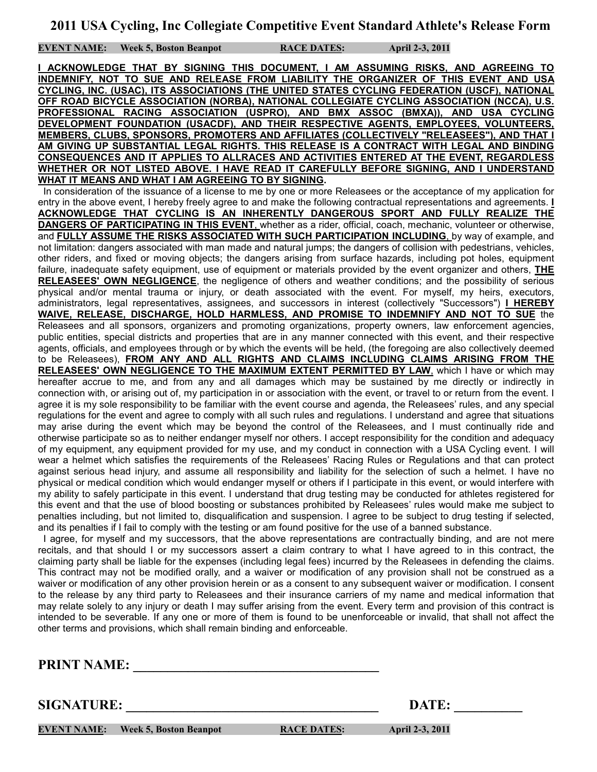**EVENT NAME:** Week 5, Boston Beanpot **RACE DATES:** April 2-3, 2011

**I ACKNOWLEDGE THAT BY SIGNING THIS DOCUMENT, I AM ASSUMING RISKS, AND AGREEING TO INDEMNIFY, NOT TO SUE AND RELEASE FROM LIABILITY THE ORGANIZER OF THIS EVENT AND USA CYCLING, INC. (USAC), ITS ASSOCIATIONS (THE UNITED STATES CYCLING FEDERATION (USCF), NATIONAL OFF ROAD BICYCLE ASSOCIATION (NORBA), NATIONAL COLLEGIATE CYCLING ASSOCIATION (NCCA), U.S. PROFESSIONAL RACING ASSOCIATION (USPRO), AND BMX ASSOC (BMXA)), AND USA CYCLING DEVELOPMENT FOUNDATION (USACDF), AND THEIR RESPECTIVE AGENTS, EMPLOYEES, VOLUNTEERS, MEMBERS, CLUBS, SPONSORS, PROMOTERS AND AFFILIATES (COLLECTIVELY "RELEASEES"), AND THAT I AM GIVING UP SUBSTANTIAL LEGAL RIGHTS. THIS RELEASE IS A CONTRACT WITH LEGAL AND BINDING CONSEQUENCES AND IT APPLIES TO ALLRACES AND ACTIVITIES ENTERED AT THE EVENT, REGARDLESS WHETHER OR NOT LISTED ABOVE. I HAVE READ IT CAREFULLY BEFORE SIGNING, AND I UNDERSTAND WHAT IT MEANS AND WHAT I AM AGREEING TO BY SIGNING.**

 In consideration of the issuance of a license to me by one or more Releasees or the acceptance of my application for entry in the above event, I hereby freely agree to and make the following contractual representations and agreements. **I ACKNOWLEDGE THAT CYCLING IS AN INHERENTLY DANGEROUS SPORT AND FULLY REALIZE THE DANGERS OF PARTICIPATING IN THIS EVENT**, whether as a rider, official, coach, mechanic, volunteer or otherwise, and **FULLY ASSUME THE RISKS ASSOCIATED WITH SUCH PARTICIPATION INCLUDING**, by way of example, and not limitation: dangers associated with man made and natural jumps; the dangers of collision with pedestrians, vehicles, other riders, and fixed or moving objects; the dangers arising from surface hazards, including pot holes, equipment failure, inadequate safety equipment, use of equipment or materials provided by the event organizer and others, **THE RELEASEES' OWN NEGLIGENCE**, the negligence of others and weather conditions; and the possibility of serious physical and/or mental trauma or injury, or death associated with the event. For myself, my heirs, executors, administrators, legal representatives, assignees, and successors in interest (collectively "Successors") **I HEREBY WAIVE, RELEASE, DISCHARGE, HOLD HARMLESS, AND PROMISE TO INDEMNIFY AND NOT TO SUE** the Releasees and all sponsors, organizers and promoting organizations, property owners, law enforcement agencies, public entities, special districts and properties that are in any manner connected with this event, and their respective agents, officials, and employees through or by which the events will be held, (the foregoing are also collectively deemed to be Releasees), **FROM ANY AND ALL RIGHTS AND CLAIMS INCLUDING CLAIMS ARISING FROM THE RELEASEES' OWN NEGLIGENCE TO THE MAXIMUM EXTENT PERMITTED BY LAW**, which I have or which may hereafter accrue to me, and from any and all damages which may be sustained by me directly or indirectly in connection with, or arising out of, my participation in or association with the event, or travel to or return from the event. I agree it is my sole responsibility to be familiar with the event course and agenda, the Releasees' rules, and any special regulations for the event and agree to comply with all such rules and regulations. I understand and agree that situations may arise during the event which may be beyond the control of the Releasees, and I must continually ride and otherwise participate so as to neither endanger myself nor others. I accept responsibility for the condition and adequacy of my equipment, any equipment provided for my use, and my conduct in connection with a USA Cycling event. I will wear a helmet which satisfies the requirements of the Releasees' Racing Rules or Regulations and that can protect against serious head injury, and assume all responsibility and liability for the selection of such a helmet. I have no physical or medical condition which would endanger myself or others if I participate in this event, or would interfere with my ability to safely participate in this event. I understand that drug testing may be conducted for athletes registered for this event and that the use of blood boosting or substances prohibited by Releasees' rules would make me subject to penalties including, but not limited to, disqualification and suspension. I agree to be subject to drug testing if selected, and its penalties if I fail to comply with the testing or am found positive for the use of a banned substance.

 I agree, for myself and my successors, that the above representations are contractually binding, and are not mere recitals, and that should I or my successors assert a claim contrary to what I have agreed to in this contract, the claiming party shall be liable for the expenses (including legal fees) incurred by the Releasees in defending the claims. This contract may not be modified orally, and a waiver or modification of any provision shall not be construed as a waiver or modification of any other provision herein or as a consent to any subsequent waiver or modification. I consent to the release by any third party to Releasees and their insurance carriers of my name and medical information that may relate solely to any injury or death I may suffer arising from the event. Every term and provision of this contract is intended to be severable. If any one or more of them is found to be unenforceable or invalid, that shall not affect the other terms and provisions, which shall remain binding and enforceable.

**PRINT NAME:** 

**SIGNATURE:** DATE:

**EVENT NAME:** Week 5, Boston Beanpot **RACE DATES:** April 2-3, 2011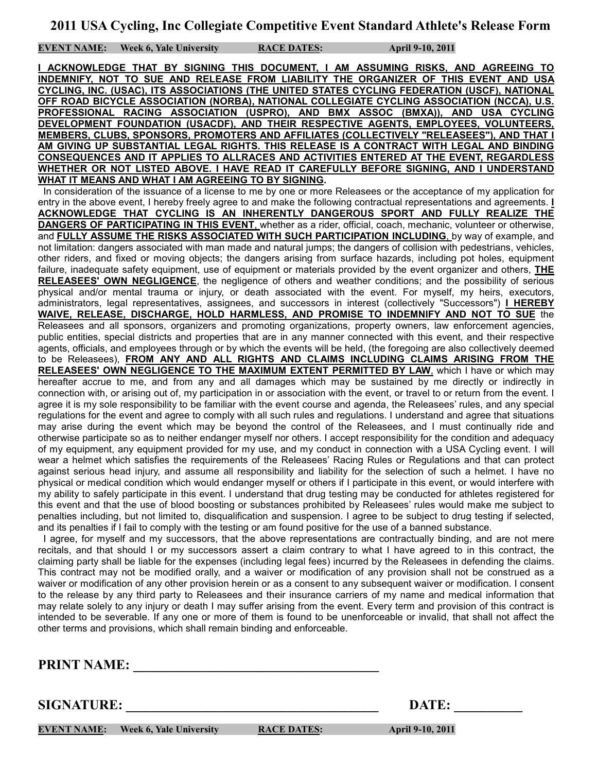**EVENT NAME: Week 6, Yale University RACE DATES: April 9-10, 2011**

**I ACKNOWLEDGE THAT BY SIGNING THIS DOCUMENT, I AM ASSUMING RISKS, AND AGREEING TO INDEMNIFY, NOT TO SUE AND RELEASE FROM LIABILITY THE ORGANIZER OF THIS EVENT AND USA CYCLING, INC. (USAC), ITS ASSOCIATIONS (THE UNITED STATES CYCLING FEDERATION (USCF), NATIONAL OFF ROAD BICYCLE ASSOCIATION (NORBA), NATIONAL COLLEGIATE CYCLING ASSOCIATION (NCCA), U.S. PROFESSIONAL RACING ASSOCIATION (USPRO), AND BMX ASSOC (BMXA)), AND USA CYCLING DEVELOPMENT FOUNDATION (USACDF), AND THEIR RESPECTIVE AGENTS, EMPLOYEES, VOLUNTEERS, MEMBERS, CLUBS, SPONSORS, PROMOTERS AND AFFILIATES (COLLECTIVELY "RELEASEES"), AND THAT I AM GIVING UP SUBSTANTIAL LEGAL RIGHTS. THIS RELEASE IS A CONTRACT WITH LEGAL AND BINDING CONSEQUENCES AND IT APPLIES TO ALLRACES AND ACTIVITIES ENTERED AT THE EVENT, REGARDLESS WHETHER OR NOT LISTED ABOVE. I HAVE READ IT CAREFULLY BEFORE SIGNING, AND I UNDERSTAND WHAT IT MEANS AND WHAT I AM AGREEING TO BY SIGNING.**

 In consideration of the issuance of a license to me by one or more Releasees or the acceptance of my application for entry in the above event, I hereby freely agree to and make the following contractual representations and agreements. **I ACKNOWLEDGE THAT CYCLING IS AN INHERENTLY DANGEROUS SPORT AND FULLY REALIZE THE DANGERS OF PARTICIPATING IN THIS EVENT**, whether as a rider, official, coach, mechanic, volunteer or otherwise, and **FULLY ASSUME THE RISKS ASSOCIATED WITH SUCH PARTICIPATION INCLUDING**, by way of example, and not limitation: dangers associated with man made and natural jumps; the dangers of collision with pedestrians, vehicles, other riders, and fixed or moving objects; the dangers arising from surface hazards, including pot holes, equipment failure, inadequate safety equipment, use of equipment or materials provided by the event organizer and others, **THE RELEASEES' OWN NEGLIGENCE**, the negligence of others and weather conditions; and the possibility of serious physical and/or mental trauma or injury, or death associated with the event. For myself, my heirs, executors, administrators, legal representatives, assignees, and successors in interest (collectively "Successors") **I HEREBY WAIVE, RELEASE, DISCHARGE, HOLD HARMLESS, AND PROMISE TO INDEMNIFY AND NOT TO SUE** the Releasees and all sponsors, organizers and promoting organizations, property owners, law enforcement agencies, public entities, special districts and properties that are in any manner connected with this event, and their respective agents, officials, and employees through or by which the events will be held, (the foregoing are also collectively deemed to be Releasees), **FROM ANY AND ALL RIGHTS AND CLAIMS INCLUDING CLAIMS ARISING FROM THE RELEASEES' OWN NEGLIGENCE TO THE MAXIMUM EXTENT PERMITTED BY LAW**, which I have or which may hereafter accrue to me, and from any and all damages which may be sustained by me directly or indirectly in connection with, or arising out of, my participation in or association with the event, or travel to or return from the event. I agree it is my sole responsibility to be familiar with the event course and agenda, the Releasees' rules, and any special regulations for the event and agree to comply with all such rules and regulations. I understand and agree that situations may arise during the event which may be beyond the control of the Releasees, and I must continually ride and otherwise participate so as to neither endanger myself nor others. I accept responsibility for the condition and adequacy of my equipment, any equipment provided for my use, and my conduct in connection with a USA Cycling event. I will wear a helmet which satisfies the requirements of the Releasees' Racing Rules or Regulations and that can protect against serious head injury, and assume all responsibility and liability for the selection of such a helmet. I have no physical or medical condition which would endanger myself or others if I participate in this event, or would interfere with my ability to safely participate in this event. I understand that drug testing may be conducted for athletes registered for this event and that the use of blood boosting or substances prohibited by Releasees' rules would make me subject to penalties including, but not limited to, disqualification and suspension. I agree to be subject to drug testing if selected, and its penalties if I fail to comply with the testing or am found positive for the use of a banned substance.

 I agree, for myself and my successors, that the above representations are contractually binding, and are not mere recitals, and that should I or my successors assert a claim contrary to what I have agreed to in this contract, the claiming party shall be liable for the expenses (including legal fees) incurred by the Releasees in defending the claims. This contract may not be modified orally, and a waiver or modification of any provision shall not be construed as a waiver or modification of any other provision herein or as a consent to any subsequent waiver or modification. I consent to the release by any third party to Releasees and their insurance carriers of my name and medical information that may relate solely to any injury or death I may suffer arising from the event. Every term and provision of this contract is intended to be severable. If any one or more of them is found to be unenforceable or invalid, that shall not affect the other terms and provisions, which shall remain binding and enforceable.

**PRINT NAME:** 

**SIGNATURE:** DATE:

**EVENT NAME:** Week 6, Yale University RACE DATES: April 9-10, 2011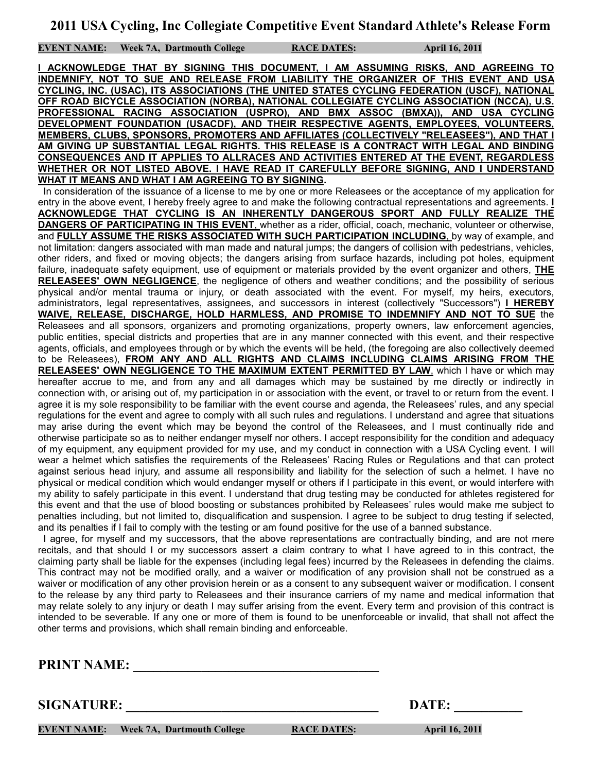**EVENT NAME:** Week 7A, Dartmouth College RACE DATES: April 16, 2011

**I ACKNOWLEDGE THAT BY SIGNING THIS DOCUMENT, I AM ASSUMING RISKS, AND AGREEING TO INDEMNIFY, NOT TO SUE AND RELEASE FROM LIABILITY THE ORGANIZER OF THIS EVENT AND USA CYCLING, INC. (USAC), ITS ASSOCIATIONS (THE UNITED STATES CYCLING FEDERATION (USCF), NATIONAL OFF ROAD BICYCLE ASSOCIATION (NORBA), NATIONAL COLLEGIATE CYCLING ASSOCIATION (NCCA), U.S. PROFESSIONAL RACING ASSOCIATION (USPRO), AND BMX ASSOC (BMXA)), AND USA CYCLING DEVELOPMENT FOUNDATION (USACDF), AND THEIR RESPECTIVE AGENTS, EMPLOYEES, VOLUNTEERS, MEMBERS, CLUBS, SPONSORS, PROMOTERS AND AFFILIATES (COLLECTIVELY "RELEASEES"), AND THAT I AM GIVING UP SUBSTANTIAL LEGAL RIGHTS. THIS RELEASE IS A CONTRACT WITH LEGAL AND BINDING CONSEQUENCES AND IT APPLIES TO ALLRACES AND ACTIVITIES ENTERED AT THE EVENT, REGARDLESS WHETHER OR NOT LISTED ABOVE. I HAVE READ IT CAREFULLY BEFORE SIGNING, AND I UNDERSTAND WHAT IT MEANS AND WHAT I AM AGREEING TO BY SIGNING.**

 In consideration of the issuance of a license to me by one or more Releasees or the acceptance of my application for entry in the above event, I hereby freely agree to and make the following contractual representations and agreements. **I ACKNOWLEDGE THAT CYCLING IS AN INHERENTLY DANGEROUS SPORT AND FULLY REALIZE THE DANGERS OF PARTICIPATING IN THIS EVENT**, whether as a rider, official, coach, mechanic, volunteer or otherwise, and **FULLY ASSUME THE RISKS ASSOCIATED WITH SUCH PARTICIPATION INCLUDING**, by way of example, and not limitation: dangers associated with man made and natural jumps; the dangers of collision with pedestrians, vehicles, other riders, and fixed or moving objects; the dangers arising from surface hazards, including pot holes, equipment failure, inadequate safety equipment, use of equipment or materials provided by the event organizer and others, **THE RELEASEES' OWN NEGLIGENCE**, the negligence of others and weather conditions; and the possibility of serious physical and/or mental trauma or injury, or death associated with the event. For myself, my heirs, executors, administrators, legal representatives, assignees, and successors in interest (collectively "Successors") **I HEREBY WAIVE, RELEASE, DISCHARGE, HOLD HARMLESS, AND PROMISE TO INDEMNIFY AND NOT TO SUE** the Releasees and all sponsors, organizers and promoting organizations, property owners, law enforcement agencies, public entities, special districts and properties that are in any manner connected with this event, and their respective agents, officials, and employees through or by which the events will be held, (the foregoing are also collectively deemed to be Releasees), **FROM ANY AND ALL RIGHTS AND CLAIMS INCLUDING CLAIMS ARISING FROM THE RELEASEES' OWN NEGLIGENCE TO THE MAXIMUM EXTENT PERMITTED BY LAW**, which I have or which may hereafter accrue to me, and from any and all damages which may be sustained by me directly or indirectly in connection with, or arising out of, my participation in or association with the event, or travel to or return from the event. I agree it is my sole responsibility to be familiar with the event course and agenda, the Releasees' rules, and any special regulations for the event and agree to comply with all such rules and regulations. I understand and agree that situations may arise during the event which may be beyond the control of the Releasees, and I must continually ride and otherwise participate so as to neither endanger myself nor others. I accept responsibility for the condition and adequacy of my equipment, any equipment provided for my use, and my conduct in connection with a USA Cycling event. I will wear a helmet which satisfies the requirements of the Releasees' Racing Rules or Regulations and that can protect against serious head injury, and assume all responsibility and liability for the selection of such a helmet. I have no physical or medical condition which would endanger myself or others if I participate in this event, or would interfere with my ability to safely participate in this event. I understand that drug testing may be conducted for athletes registered for this event and that the use of blood boosting or substances prohibited by Releasees' rules would make me subject to penalties including, but not limited to, disqualification and suspension. I agree to be subject to drug testing if selected, and its penalties if I fail to comply with the testing or am found positive for the use of a banned substance.

 I agree, for myself and my successors, that the above representations are contractually binding, and are not mere recitals, and that should I or my successors assert a claim contrary to what I have agreed to in this contract, the claiming party shall be liable for the expenses (including legal fees) incurred by the Releasees in defending the claims. This contract may not be modified orally, and a waiver or modification of any provision shall not be construed as a waiver or modification of any other provision herein or as a consent to any subsequent waiver or modification. I consent to the release by any third party to Releasees and their insurance carriers of my name and medical information that may relate solely to any injury or death I may suffer arising from the event. Every term and provision of this contract is intended to be severable. If any one or more of them is found to be unenforceable or invalid, that shall not affect the other terms and provisions, which shall remain binding and enforceable.

**PRINT NAME:** 

**SIGNATURE:** DATE:

**EVENT NAME:** Week 7A, Dartmouth College RACE DATES: April 16, 2011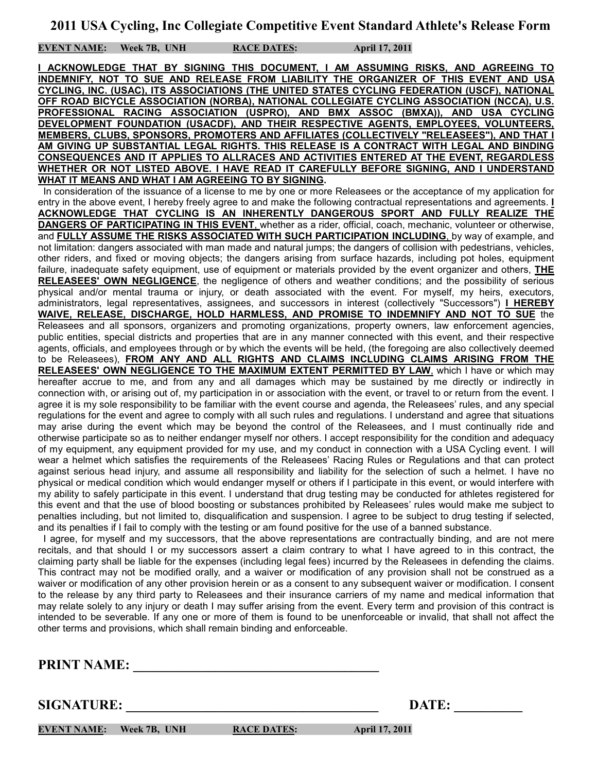**EVENT NAME: Week 7B, UNH RACE DATES: April 17, 2011**

**I ACKNOWLEDGE THAT BY SIGNING THIS DOCUMENT, I AM ASSUMING RISKS, AND AGREEING TO INDEMNIFY, NOT TO SUE AND RELEASE FROM LIABILITY THE ORGANIZER OF THIS EVENT AND USA CYCLING, INC. (USAC), ITS ASSOCIATIONS (THE UNITED STATES CYCLING FEDERATION (USCF), NATIONAL OFF ROAD BICYCLE ASSOCIATION (NORBA), NATIONAL COLLEGIATE CYCLING ASSOCIATION (NCCA), U.S. PROFESSIONAL RACING ASSOCIATION (USPRO), AND BMX ASSOC (BMXA)), AND USA CYCLING DEVELOPMENT FOUNDATION (USACDF), AND THEIR RESPECTIVE AGENTS, EMPLOYEES, VOLUNTEERS, MEMBERS, CLUBS, SPONSORS, PROMOTERS AND AFFILIATES (COLLECTIVELY "RELEASEES"), AND THAT I AM GIVING UP SUBSTANTIAL LEGAL RIGHTS. THIS RELEASE IS A CONTRACT WITH LEGAL AND BINDING CONSEQUENCES AND IT APPLIES TO ALLRACES AND ACTIVITIES ENTERED AT THE EVENT, REGARDLESS WHETHER OR NOT LISTED ABOVE. I HAVE READ IT CAREFULLY BEFORE SIGNING, AND I UNDERSTAND WHAT IT MEANS AND WHAT I AM AGREEING TO BY SIGNING.**

 In consideration of the issuance of a license to me by one or more Releasees or the acceptance of my application for entry in the above event, I hereby freely agree to and make the following contractual representations and agreements. **I ACKNOWLEDGE THAT CYCLING IS AN INHERENTLY DANGEROUS SPORT AND FULLY REALIZE THE DANGERS OF PARTICIPATING IN THIS EVENT**, whether as a rider, official, coach, mechanic, volunteer or otherwise, and **FULLY ASSUME THE RISKS ASSOCIATED WITH SUCH PARTICIPATION INCLUDING**, by way of example, and not limitation: dangers associated with man made and natural jumps; the dangers of collision with pedestrians, vehicles, other riders, and fixed or moving objects; the dangers arising from surface hazards, including pot holes, equipment failure, inadequate safety equipment, use of equipment or materials provided by the event organizer and others, **THE RELEASEES' OWN NEGLIGENCE**, the negligence of others and weather conditions; and the possibility of serious physical and/or mental trauma or injury, or death associated with the event. For myself, my heirs, executors, administrators, legal representatives, assignees, and successors in interest (collectively "Successors") **I HEREBY WAIVE, RELEASE, DISCHARGE, HOLD HARMLESS, AND PROMISE TO INDEMNIFY AND NOT TO SUE** the Releasees and all sponsors, organizers and promoting organizations, property owners, law enforcement agencies, public entities, special districts and properties that are in any manner connected with this event, and their respective agents, officials, and employees through or by which the events will be held, (the foregoing are also collectively deemed to be Releasees), **FROM ANY AND ALL RIGHTS AND CLAIMS INCLUDING CLAIMS ARISING FROM THE RELEASEES' OWN NEGLIGENCE TO THE MAXIMUM EXTENT PERMITTED BY LAW**, which I have or which may hereafter accrue to me, and from any and all damages which may be sustained by me directly or indirectly in connection with, or arising out of, my participation in or association with the event, or travel to or return from the event. I agree it is my sole responsibility to be familiar with the event course and agenda, the Releasees' rules, and any special regulations for the event and agree to comply with all such rules and regulations. I understand and agree that situations may arise during the event which may be beyond the control of the Releasees, and I must continually ride and otherwise participate so as to neither endanger myself nor others. I accept responsibility for the condition and adequacy of my equipment, any equipment provided for my use, and my conduct in connection with a USA Cycling event. I will wear a helmet which satisfies the requirements of the Releasees' Racing Rules or Regulations and that can protect against serious head injury, and assume all responsibility and liability for the selection of such a helmet. I have no physical or medical condition which would endanger myself or others if I participate in this event, or would interfere with my ability to safely participate in this event. I understand that drug testing may be conducted for athletes registered for this event and that the use of blood boosting or substances prohibited by Releasees' rules would make me subject to penalties including, but not limited to, disqualification and suspension. I agree to be subject to drug testing if selected, and its penalties if I fail to comply with the testing or am found positive for the use of a banned substance.

 I agree, for myself and my successors, that the above representations are contractually binding, and are not mere recitals, and that should I or my successors assert a claim contrary to what I have agreed to in this contract, the claiming party shall be liable for the expenses (including legal fees) incurred by the Releasees in defending the claims. This contract may not be modified orally, and a waiver or modification of any provision shall not be construed as a waiver or modification of any other provision herein or as a consent to any subsequent waiver or modification. I consent to the release by any third party to Releasees and their insurance carriers of my name and medical information that may relate solely to any injury or death I may suffer arising from the event. Every term and provision of this contract is intended to be severable. If any one or more of them is found to be unenforceable or invalid, that shall not affect the other terms and provisions, which shall remain binding and enforceable.

**PRINT NAME:** 

**SIGNATURE:** DATE:

**EVENT NAME:** Week 7B, UNH RACE DATES: April 17, 2011